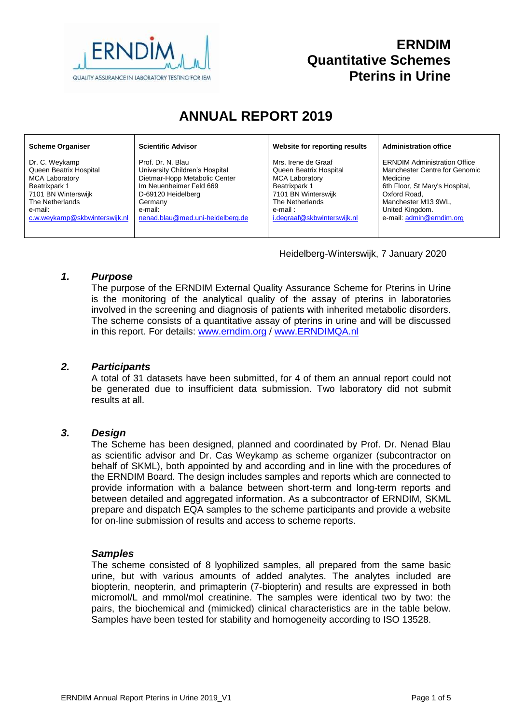

# **ERNDIM Quantitative Schemes Pterins in Urine**

# **ANNUAL REPORT 2019**

#### **Scheme Organiser**

Dr. C. Weykamp Queen Beatrix Hospital MCA Laboratory Beatrixpark 1 7101 BN Winterswijk The Netherlands e-mail: [c.w.weykamp@skbwinterswijk.nl](mailto:c.w.weykamp@skbwinterswijk.nl) **Scientific Advisor**

Prof. Dr. N. Blau University Children's Hospital Dietmar-Hopp Metabolic Center Im Neuenheimer Feld 669 D-69120 Heidelberg Germany e-mail: [nenad.blau@med.uni-heidelberg.de](mailto:nenad.blau@med.uni-heidelberg.de) **Website for reporting results**

Mrs. Irene de Graaf Queen Beatrix Hospital MCA Laboratory Beatrixpark 1 7101 BN Winterswijk The Netherlands e-mail : [i.degraaf@skbwinterswijk.nl](mailto:i.degraaf@skbwinterswijk.nl) **Administration office**

ERNDIM Administration Office Manchester Centre for Genomic Medicine 6th Floor, St Mary's Hospital, Oxford Road, Manchester M13 9WL, United Kingdom. e-mail: [admin@erndim.org](mailto:admin@erndim.org)

Heidelberg-Winterswijk, 7 January 2020

#### *1. Purpose*

The purpose of the ERNDIM External Quality Assurance Scheme for Pterins in Urine is the monitoring of the analytical quality of the assay of pterins in laboratories involved in the screening and diagnosis of patients with inherited metabolic disorders. The scheme consists of a quantitative assay of pterins in urine and will be discussed in this report. For details: [www.erndim.o](http://www.erndim.unibas.ch/)rg / [www.ERNDIMQA.nl](http://www.erndimqa.nl/)

### *2. Participants*

A total of 31 datasets have been submitted, for 4 of them an annual report could not be generated due to insufficient data submission. Two laboratory did not submit results at all.

#### *3. Design*

The Scheme has been designed, planned and coordinated by Prof. Dr. Nenad Blau as scientific advisor and Dr. Cas Weykamp as scheme organizer (subcontractor on behalf of SKML), both appointed by and according and in line with the procedures of the ERNDIM Board. The design includes samples and reports which are connected to provide information with a balance between short-term and long-term reports and between detailed and aggregated information. As a subcontractor of ERNDIM, SKML prepare and dispatch EQA samples to the scheme participants and provide a website for on-line submission of results and access to scheme reports.

#### *Samples*

The scheme consisted of 8 lyophilized samples, all prepared from the same basic urine, but with various amounts of added analytes. The analytes included are biopterin, neopterin, and primapterin (7-biopterin) and results are expressed in both micromol/L and mmol/mol creatinine. The samples were identical two by two: the pairs, the biochemical and (mimicked) clinical characteristics are in the table below. Samples have been tested for stability and homogeneity according to ISO 13528.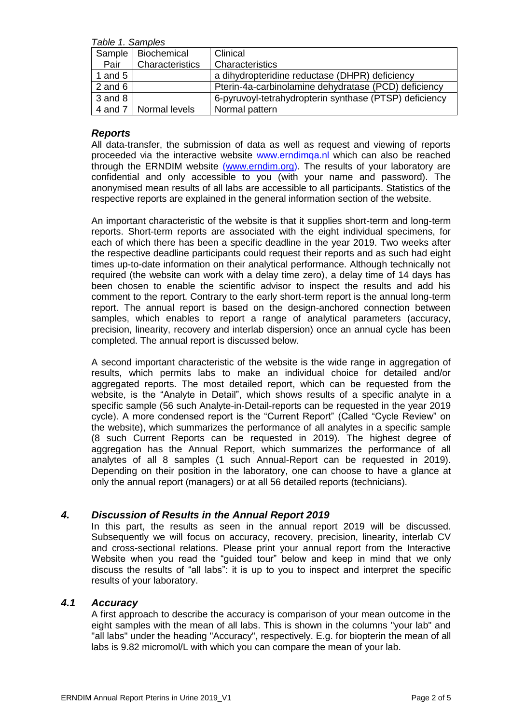*Table 1. Samples*

| $1.9010 - 1.901110100$ |                      |                                                        |  |  |  |
|------------------------|----------------------|--------------------------------------------------------|--|--|--|
|                        | Sample   Biochemical | Clinical                                               |  |  |  |
| Pair                   | Characteristics      | Characteristics                                        |  |  |  |
| 1 and $5$              |                      | a dihydropteridine reductase (DHPR) deficiency         |  |  |  |
| 2 and $6$              |                      | Pterin-4a-carbinolamine dehydratase (PCD) deficiency   |  |  |  |
| $3$ and $8$            |                      | 6-pyruvoyl-tetrahydropterin synthase (PTSP) deficiency |  |  |  |
| 4 and 7                | Normal levels        | Normal pattern                                         |  |  |  |

#### *Reports*

All data-transfer, the submission of data as well as request and viewing of reports proceeded via the interactive website [www.erndimqa.nl](http://www.erndimqa.nl/) which can also be reached through the ERNDIM website [\(www.erndim.org\)](http://www.erndim.org/). The results of your laboratory are confidential and only accessible to you (with your name and password). The anonymised mean results of all labs are accessible to all participants. Statistics of the respective reports are explained in the general information section of the website.

An important characteristic of the website is that it supplies short-term and long-term reports. Short-term reports are associated with the eight individual specimens, for each of which there has been a specific deadline in the year 2019. Two weeks after the respective deadline participants could request their reports and as such had eight times up-to-date information on their analytical performance. Although technically not required (the website can work with a delay time zero), a delay time of 14 days has been chosen to enable the scientific advisor to inspect the results and add his comment to the report. Contrary to the early short-term report is the annual long-term report. The annual report is based on the design-anchored connection between samples, which enables to report a range of analytical parameters (accuracy, precision, linearity, recovery and interlab dispersion) once an annual cycle has been completed. The annual report is discussed below.

A second important characteristic of the website is the wide range in aggregation of results, which permits labs to make an individual choice for detailed and/or aggregated reports. The most detailed report, which can be requested from the website, is the "Analyte in Detail", which shows results of a specific analyte in a specific sample (56 such Analyte-in-Detail-reports can be requested in the year 2019 cycle). A more condensed report is the "Current Report" (Called "Cycle Review" on the website), which summarizes the performance of all analytes in a specific sample (8 such Current Reports can be requested in 2019). The highest degree of aggregation has the Annual Report, which summarizes the performance of all analytes of all 8 samples (1 such Annual-Report can be requested in 2019). Depending on their position in the laboratory, one can choose to have a glance at only the annual report (managers) or at all 56 detailed reports (technicians).

#### *4. Discussion of Results in the Annual Report 2019*

In this part, the results as seen in the annual report 2019 will be discussed. Subsequently we will focus on accuracy, recovery, precision, linearity, interlab CV and cross-sectional relations. Please print your annual report from the Interactive Website when you read the "guided tour" below and keep in mind that we only discuss the results of "all labs": it is up to you to inspect and interpret the specific results of your laboratory.

#### *4.1 Accuracy*

A first approach to describe the accuracy is comparison of your mean outcome in the eight samples with the mean of all labs. This is shown in the columns "your lab" and "all labs" under the heading "Accuracy", respectively. E.g. for biopterin the mean of all labs is 9.82 micromol/L with which you can compare the mean of your lab.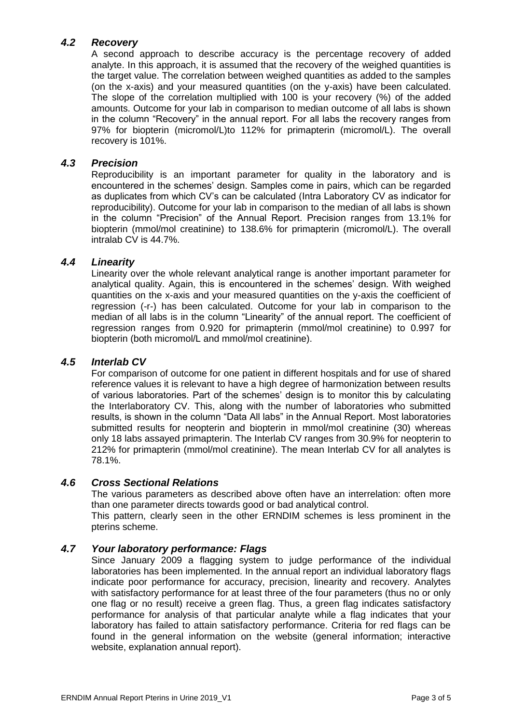# *4.2 Recovery*

A second approach to describe accuracy is the percentage recovery of added analyte. In this approach, it is assumed that the recovery of the weighed quantities is the target value. The correlation between weighed quantities as added to the samples (on the x-axis) and your measured quantities (on the y-axis) have been calculated. The slope of the correlation multiplied with 100 is your recovery (%) of the added amounts. Outcome for your lab in comparison to median outcome of all labs is shown in the column "Recovery" in the annual report. For all labs the recovery ranges from 97% for biopterin (micromol/L)to 112% for primapterin (micromol/L). The overall recovery is 101%.

### *4.3 Precision*

Reproducibility is an important parameter for quality in the laboratory and is encountered in the schemes' design. Samples come in pairs, which can be regarded as duplicates from which CV's can be calculated (Intra Laboratory CV as indicator for reproducibility). Outcome for your lab in comparison to the median of all labs is shown in the column "Precision" of the Annual Report. Precision ranges from 13.1% for biopterin (mmol/mol creatinine) to 138.6% for primapterin (micromol/L). The overall intralab CV is 44.7%.

#### *4.4 Linearity*

Linearity over the whole relevant analytical range is another important parameter for analytical quality. Again, this is encountered in the schemes' design. With weighed quantities on the x-axis and your measured quantities on the y-axis the coefficient of regression (-r-) has been calculated. Outcome for your lab in comparison to the median of all labs is in the column "Linearity" of the annual report. The coefficient of regression ranges from 0.920 for primapterin (mmol/mol creatinine) to 0.997 for biopterin (both micromol/L and mmol/mol creatinine).

#### *4.5 Interlab CV*

For comparison of outcome for one patient in different hospitals and for use of shared reference values it is relevant to have a high degree of harmonization between results of various laboratories. Part of the schemes' design is to monitor this by calculating the Interlaboratory CV. This, along with the number of laboratories who submitted results, is shown in the column "Data All labs" in the Annual Report. Most laboratories submitted results for neopterin and biopterin in mmol/mol creatinine (30) whereas only 18 labs assayed primapterin. The Interlab CV ranges from 30.9% for neopterin to 212% for primapterin (mmol/mol creatinine). The mean Interlab CV for all analytes is 78.1%.

#### *4.6 Cross Sectional Relations*

The various parameters as described above often have an interrelation: often more than one parameter directs towards good or bad analytical control.

This pattern, clearly seen in the other ERNDIM schemes is less prominent in the pterins scheme.

#### *4.7 Your laboratory performance: Flags*

Since January 2009 a flagging system to judge performance of the individual laboratories has been implemented. In the annual report an individual laboratory flags indicate poor performance for accuracy, precision, linearity and recovery. Analytes with satisfactory performance for at least three of the four parameters (thus no or only one flag or no result) receive a green flag. Thus, a green flag indicates satisfactory performance for analysis of that particular analyte while a flag indicates that your laboratory has failed to attain satisfactory performance. Criteria for red flags can be found in the general information on the website (general information; interactive website, explanation annual report).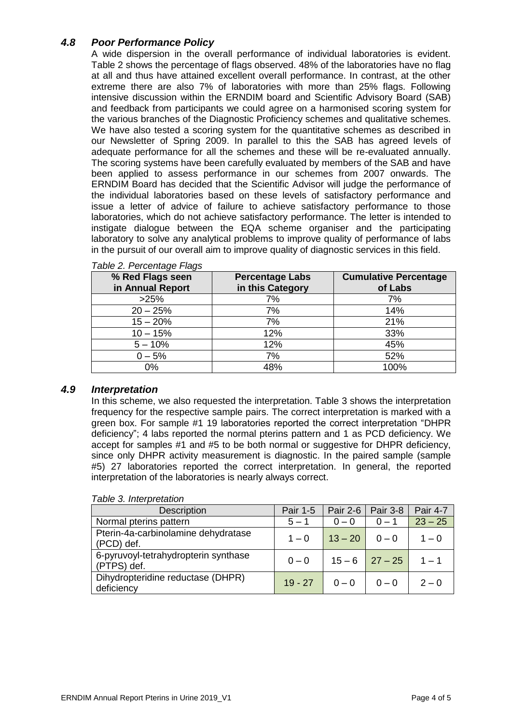# *4.8 Poor Performance Policy*

A wide dispersion in the overall performance of individual laboratories is evident. Table 2 shows the percentage of flags observed. 48% of the laboratories have no flag at all and thus have attained excellent overall performance. In contrast, at the other extreme there are also 7% of laboratories with more than 25% flags. Following intensive discussion within the ERNDIM board and Scientific Advisory Board (SAB) and feedback from participants we could agree on a harmonised scoring system for the various branches of the Diagnostic Proficiency schemes and qualitative schemes. We have also tested a scoring system for the quantitative schemes as described in our Newsletter of Spring 2009. In parallel to this the SAB has agreed levels of adequate performance for all the schemes and these will be re-evaluated annually. The scoring systems have been carefully evaluated by members of the SAB and have been applied to assess performance in our schemes from 2007 onwards. The ERNDIM Board has decided that the Scientific Advisor will judge the performance of the individual laboratories based on these levels of satisfactory performance and issue a letter of advice of failure to achieve satisfactory performance to those laboratories, which do not achieve satisfactory performance. The letter is intended to instigate dialogue between the EQA scheme organiser and the participating laboratory to solve any analytical problems to improve quality of performance of labs in the pursuit of our overall aim to improve quality of diagnostic services in this field.

| % Red Flags seen<br>in Annual Report | <b>Percentage Labs</b><br>in this Category | <b>Cumulative Percentage</b><br>of Labs |
|--------------------------------------|--------------------------------------------|-----------------------------------------|
| >25%                                 | 7%                                         | 7%                                      |
| $20 - 25%$                           | 7%                                         | 14%                                     |
| $15 - 20%$                           | 7%                                         | 21%                                     |
| $10 - 15%$                           | 12%                                        | 33%                                     |
| $5 - 10%$                            | 12%                                        | 45%                                     |
| $0 - 5%$                             | 7%                                         | 52%                                     |
| 0%                                   | 48%                                        | 100%                                    |

#### *Table 2. Percentage Flags*

#### *4.9 Interpretation*

In this scheme, we also requested the interpretation. Table 3 shows the interpretation frequency for the respective sample pairs. The correct interpretation is marked with a green box. For sample #1 19 laboratories reported the correct interpretation "DHPR deficiency"; 4 labs reported the normal pterins pattern and 1 as PCD deficiency. We accept for samples #1 and #5 to be both normal or suggestive for DHPR deficiency, since only DHPR activity measurement is diagnostic. In the paired sample (sample #5) 27 laboratories reported the correct interpretation. In general, the reported interpretation of the laboratories is nearly always correct.

| <b>Description</b>                                  | Pair 1-5  | Pair 2-6         | $\vert$ Pair 3-8 | <b>Pair 4-7</b> |
|-----------------------------------------------------|-----------|------------------|------------------|-----------------|
| Normal pterins pattern                              | $5 - 1$   | $0 - 0$          | $0 - 1$          | $23 - 25$       |
| Pterin-4a-carbinolamine dehydratase<br>(PCD) def.   | $1 - 0$   | $13 - 20$        | $0 - 0$          | $1 - 0$         |
| 6-pyruvoyl-tetrahydropterin synthase<br>(PTPS) def. | $0 - 0$   | $15 - 6$ 27 - 25 |                  | $1 - 1$         |
| Dihydropteridine reductase (DHPR)<br>deficiency     | $19 - 27$ | $0 - 0$          | $0 - 0$          | $2 - 0$         |

*Table 3. Interpretation*